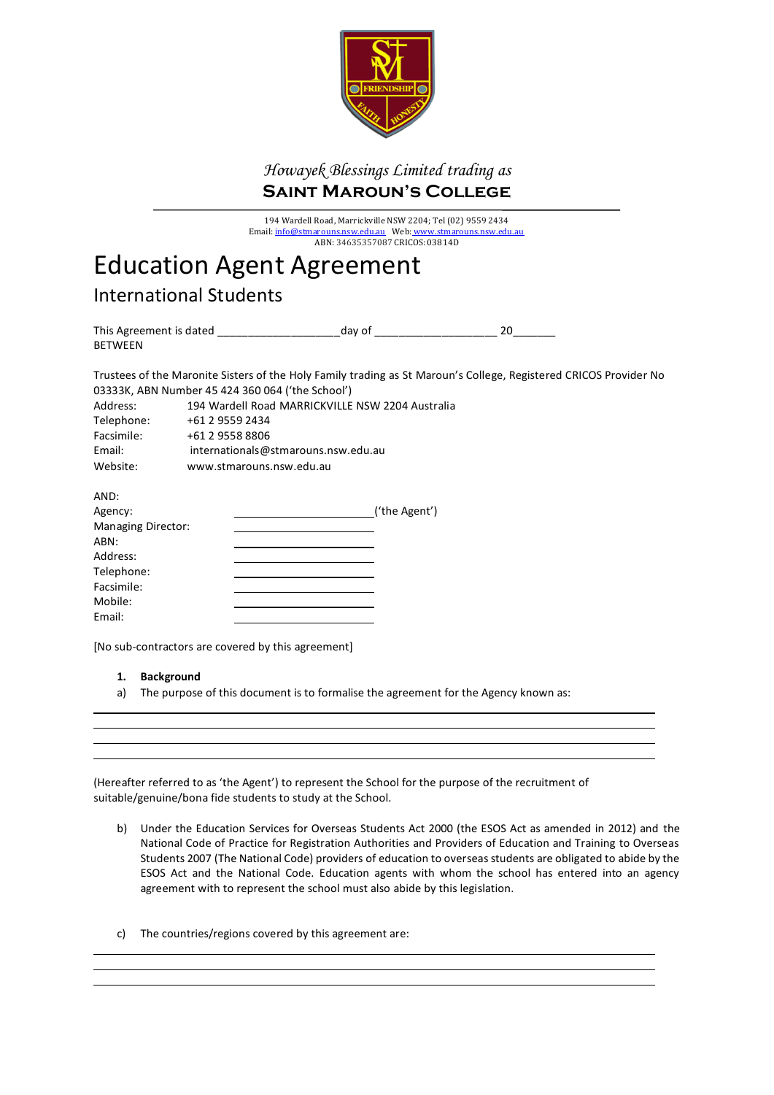

# *Howayek Blessings Limited trading as* **Saint Maroun's College**

194 Wardell Road, Marrickville NSW 2204; Tel (02) 9559 2434 Email: <u>info@stmarouns.nsw.edu.au</u> Web: <u>www.stmarouns.nsw.edu.au</u> ABN: 34635357087 CRICOS: 03814D

# Education Agent Agreement

International Students

| This Agreement is dated | day of |  |
|-------------------------|--------|--|
| <b>BETWEEN</b>          |        |  |

Trustees of the Maronite Sisters of the Holy Family trading as St Maroun's College, Registered CRICOS Provider No 03333K, ABN Number 45 424 360 064 ('the School')

| Address:   | 194 Wardell Road MARRICKVILLE NSW 2204 Australia |
|------------|--------------------------------------------------|
| Telephone: | +61 2 9559 2434                                  |
| Facsimile: | +61 2 9558 8806                                  |
| Email:     | internationals@stmarouns.nsw.edu.au              |
| Website:   | www.stmarouns.nsw.edu.au                         |

| AND:               |                |
|--------------------|----------------|
| Agency:            | _('the Agent') |
| Managing Director: |                |
| ABN:               |                |
| Address:           |                |
| Telephone:         |                |
| Facsimile:         |                |
| Mobile:            |                |
| Email:             |                |

[No sub-contractors are covered by this agreement]

#### **1. Background**

a) The purpose of this document is to formalise the agreement for the Agency known as:

(Hereafter referred to as 'the Agent') to represent the School for the purpose of the recruitment of suitable/genuine/bona fide students to study at the School.

- b) Under the Education Services for Overseas Students Act 2000 (the ESOS Act as amended in 2012) and the National Code of Practice for Registration Authorities and Providers of Education and Training to Overseas Students 2007 (The National Code) providers of education to overseas students are obligated to abide by the ESOS Act and the National Code. Education agents with whom the school has entered into an agency agreement with to represent the school must also abide by this legislation.
- c) The countries/regions covered by this agreement are: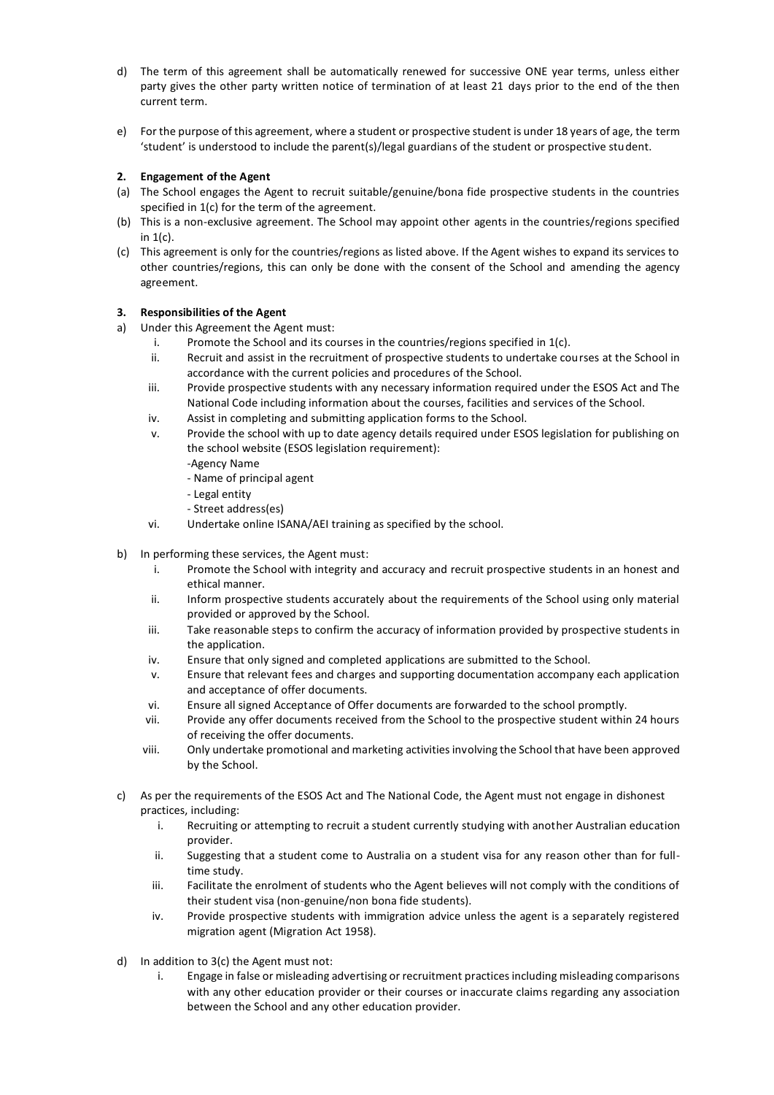- d) The term of this agreement shall be automatically renewed for successive ONE year terms, unless either party gives the other party written notice of termination of at least 21 days prior to the end of the then current term.
- e) For the purpose of this agreement, where a student or prospective student is under 18 years of age, the term 'student' is understood to include the parent(s)/legal guardians of the student or prospective student.

#### **2. Engagement of the Agent**

- (a) The School engages the Agent to recruit suitable/genuine/bona fide prospective students in the countries specified in 1(c) for the term of the agreement.
- (b) This is a non-exclusive agreement. The School may appoint other agents in the countries/regions specified in 1(c).
- (c) This agreement is only for the countries/regions as listed above. If the Agent wishes to expand its services to other countries/regions, this can only be done with the consent of the School and amending the agency agreement.

#### **3. Responsibilities of the Agent**

- a) Under this Agreement the Agent must:
	- i. Promote the School and its courses in the countries/regions specified in  $1(c)$ .
	- ii. Recruit and assist in the recruitment of prospective students to undertake courses at the School in accordance with the current policies and procedures of the School.
	- iii. Provide prospective students with any necessary information required under the ESOS Act and The National Code including information about the courses, facilities and services of the School.
	- iv. Assist in completing and submitting application forms to the School.
	- v. Provide the school with up to date agency details required under ESOS legislation for publishing on the school website (ESOS legislation requirement):
		- -Agency Name
		- Name of principal agent
		- Legal entity
		- Street address(es)
	- vi. Undertake online ISANA/AEI training as specified by the school.
- b) In performing these services, the Agent must:
	- i. Promote the School with integrity and accuracy and recruit prospective students in an honest and ethical manner.
	- ii. Inform prospective students accurately about the requirements of the School using only material provided or approved by the School.
	- iii. Take reasonable steps to confirm the accuracy of information provided by prospective students in the application.
	- iv. Ensure that only signed and completed applications are submitted to the School.
	- v. Ensure that relevant fees and charges and supporting documentation accompany each application and acceptance of offer documents.
	- vi. Ensure all signed Acceptance of Offer documents are forwarded to the school promptly.
	- vii. Provide any offer documents received from the School to the prospective student within 24 hours of receiving the offer documents.
	- viii. Only undertake promotional and marketing activities involving the School that have been approved by the School.
- c) As per the requirements of the ESOS Act and The National Code, the Agent must not engage in dishonest practices, including:
	- i. Recruiting or attempting to recruit a student currently studying with another Australian education provider.
	- ii. Suggesting that a student come to Australia on a student visa for any reason other than for fulltime study.
	- iii. Facilitate the enrolment of students who the Agent believes will not comply with the conditions of their student visa (non-genuine/non bona fide students).
	- iv. Provide prospective students with immigration advice unless the agent is a separately registered migration agent (Migration Act 1958).
- d) In addition to 3(c) the Agent must not:
	- i. Engage in false or misleading advertising or recruitment practices including misleading comparisons with any other education provider or their courses or inaccurate claims regarding any association between the School and any other education provider.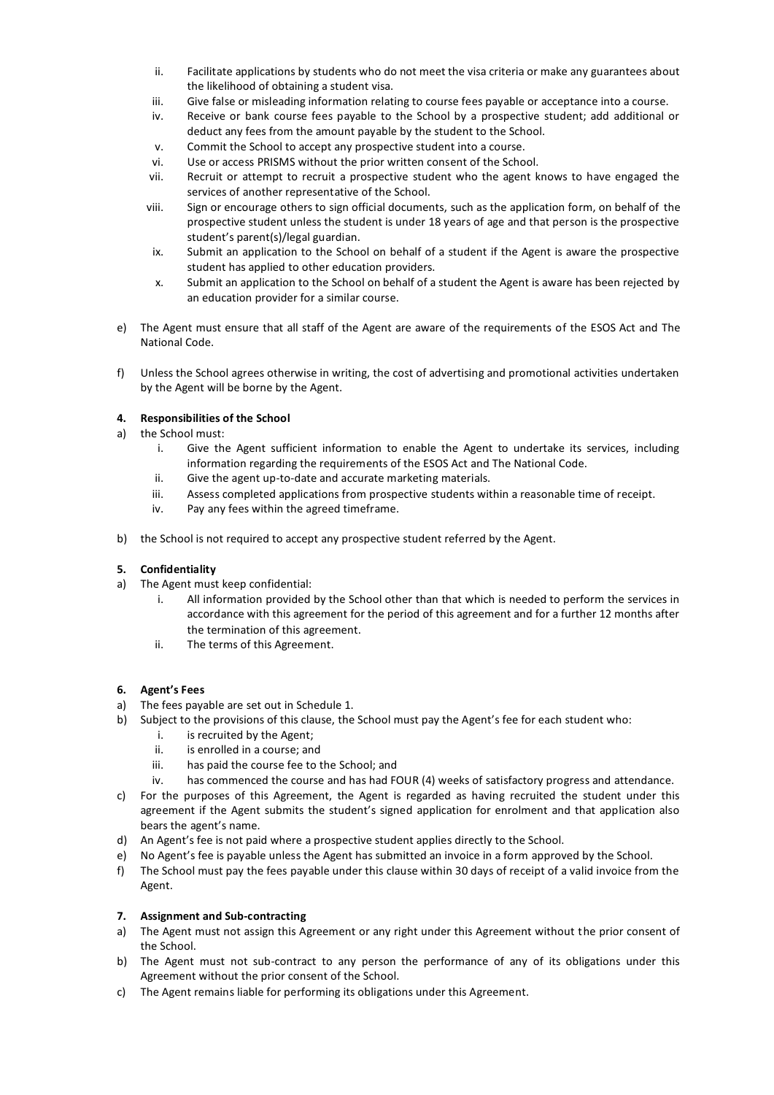- ii. Facilitate applications by students who do not meet the visa criteria or make any guarantees about the likelihood of obtaining a student visa.
- iii. Give false or misleading information relating to course fees payable or acceptance into a course.
- iv. Receive or bank course fees payable to the School by a prospective student; add additional or deduct any fees from the amount payable by the student to the School.
- v. Commit the School to accept any prospective student into a course.
- 
- vi. Use or access PRISMS without the prior written consent of the School.<br>vii. Recruit or attempt to recruit a prospective student who the agent k Recruit or attempt to recruit a prospective student who the agent knows to have engaged the services of another representative of the School.
- viii. Sign or encourage others to sign official documents, such as the application form, on behalf of the prospective student unless the student is under 18 years of age and that person is the prospective student's parent(s)/legal guardian.
- ix. Submit an application to the School on behalf of a student if the Agent is aware the prospective student has applied to other education providers.
- x. Submit an application to the School on behalf of a student the Agent is aware has been rejected by an education provider for a similar course.
- e) The Agent must ensure that all staff of the Agent are aware of the requirements of the ESOS Act and The National Code.
- f) Unless the School agrees otherwise in writing, the cost of advertising and promotional activities undertaken by the Agent will be borne by the Agent.

#### **4. Responsibilities of the School**

- a) the School must:
	- i. Give the Agent sufficient information to enable the Agent to undertake its services, including information regarding the requirements of the ESOS Act and The National Code.
	- ii. Give the agent up-to-date and accurate marketing materials.
	- iii. Assess completed applications from prospective students within a reasonable time of receipt.
	- iv. Pay any fees within the agreed timeframe.
- b) the School is not required to accept any prospective student referred by the Agent.

#### **5. Confidentiality**

- a) The Agent must keep confidential:
	- i. All information provided by the School other than that which is needed to perform the services in accordance with this agreement for the period of this agreement and for a further 12 months after the termination of this agreement.
	- ii. The terms of this Agreement.

#### **6. Agent's Fees**

- a) The fees payable are set out in Schedule 1.
- b) Subject to the provisions of this clause, the School must pay the Agent's fee for each student who:
	- i. is recruited by the Agent;
	- ii. is enrolled in a course; and
	- iii. has paid the course fee to the School; and
	- iv. has commenced the course and has had FOUR (4) weeks of satisfactory progress and attendance.
- c) For the purposes of this Agreement, the Agent is regarded as having recruited the student under this agreement if the Agent submits the student's signed application for enrolment and that application also bears the agent's name.
- d) An Agent's fee is not paid where a prospective student applies directly to the School.
- e) No Agent's fee is payable unless the Agent has submitted an invoice in a form approved by the School.
- f) The School must pay the fees payable under this clause within 30 days of receipt of a valid invoice from the Agent.

#### **7. Assignment and Sub-contracting**

- a) The Agent must not assign this Agreement or any right under this Agreement without the prior consent of the School.
- b) The Agent must not sub-contract to any person the performance of any of its obligations under this Agreement without the prior consent of the School.
- c) The Agent remains liable for performing its obligations under this Agreement.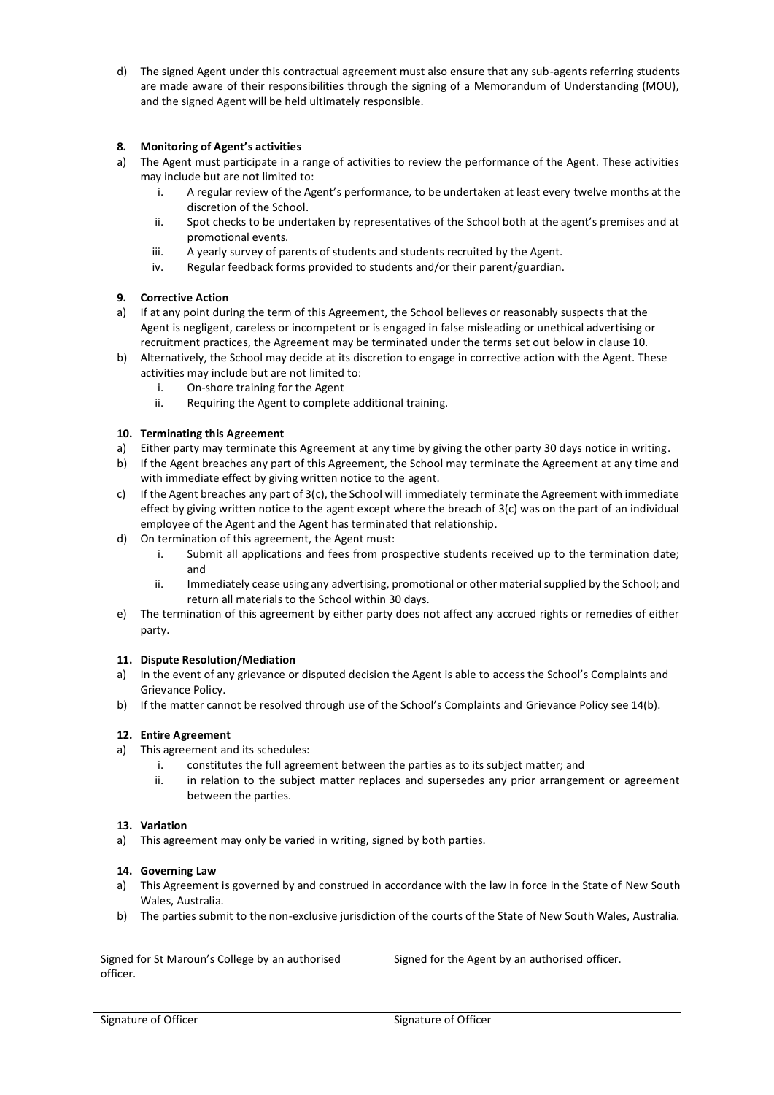d) The signed Agent under this contractual agreement must also ensure that any sub-agents referring students are made aware of their responsibilities through the signing of a Memorandum of Understanding (MOU), and the signed Agent will be held ultimately responsible.

#### **8. Monitoring of Agent's activities**

- a) The Agent must participate in a range of activities to review the performance of the Agent. These activities may include but are not limited to:
	- i. A regular review of the Agent's performance, to be undertaken at least every twelve months at the discretion of the School.
	- ii. Spot checks to be undertaken by representatives of the School both at the agent's premises and at promotional events.
	- iii. A yearly survey of parents of students and students recruited by the Agent.
	- iv. Regular feedback forms provided to students and/or their parent/guardian.

#### **9. Corrective Action**

- a) If at any point during the term of this Agreement, the School believes or reasonably suspects that the Agent is negligent, careless or incompetent or is engaged in false misleading or unethical advertising or recruitment practices, the Agreement may be terminated under the terms set out below in clause 10.
- b) Alternatively, the School may decide at its discretion to engage in corrective action with the Agent. These activities may include but are not limited to:
	- i. On-shore training for the Agent
	- ii. Requiring the Agent to complete additional training.

#### **10. Terminating this Agreement**

- a) Either party may terminate this Agreement at any time by giving the other party 30 days notice in writing.
- b) If the Agent breaches any part of this Agreement, the School may terminate the Agreement at any time and with immediate effect by giving written notice to the agent.
- c) If the Agent breaches any part of  $3(c)$ , the School will immediately terminate the Agreement with immediate effect by giving written notice to the agent except where the breach of 3(c) was on the part of an individual employee of the Agent and the Agent has terminated that relationship.
- d) On termination of this agreement, the Agent must:
	- i. Submit all applications and fees from prospective students received up to the termination date; and
	- ii. Immediately cease using any advertising, promotional or other material supplied by the School; and return all materials to the School within 30 days.
- e) The termination of this agreement by either party does not affect any accrued rights or remedies of either party.

#### **11. Dispute Resolution/Mediation**

- a) In the event of any grievance or disputed decision the Agent is able to access the School's Complaints and Grievance Policy.
- b) If the matter cannot be resolved through use of the School's Complaints and Grievance Policy see 14(b).

#### **12. Entire Agreement**

- a) This agreement and its schedules:
	- i. constitutes the full agreement between the parties as to its subject matter; and
	- ii. in relation to the subject matter replaces and supersedes any prior arrangement or agreement between the parties.

#### **13. Variation**

a) This agreement may only be varied in writing, signed by both parties.

#### **14. Governing Law**

- a) This Agreement is governed by and construed in accordance with the law in force in the State of New South Wales, Australia.
- b) The parties submit to the non-exclusive jurisdiction of the courts of the State of New South Wales, Australia.

Signed for St Maroun's College by an authorised officer.

Signed for the Agent by an authorised officer.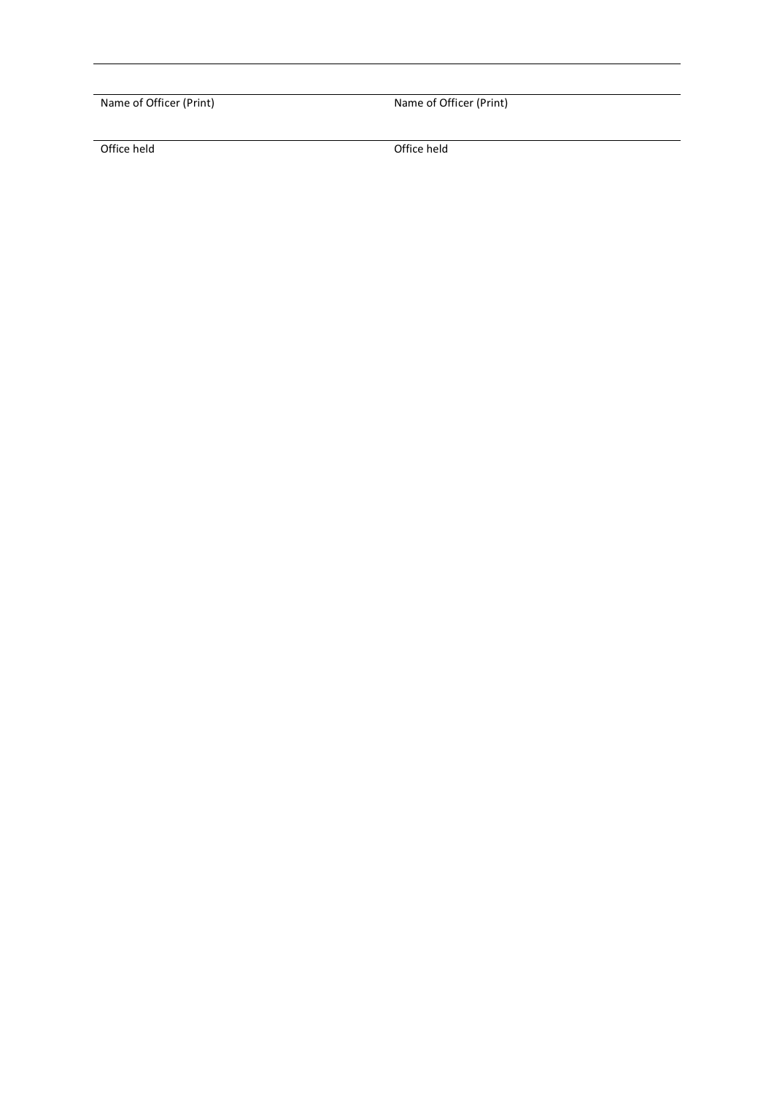Name of Officer (Print) Name of Officer (Print)

Office held Office held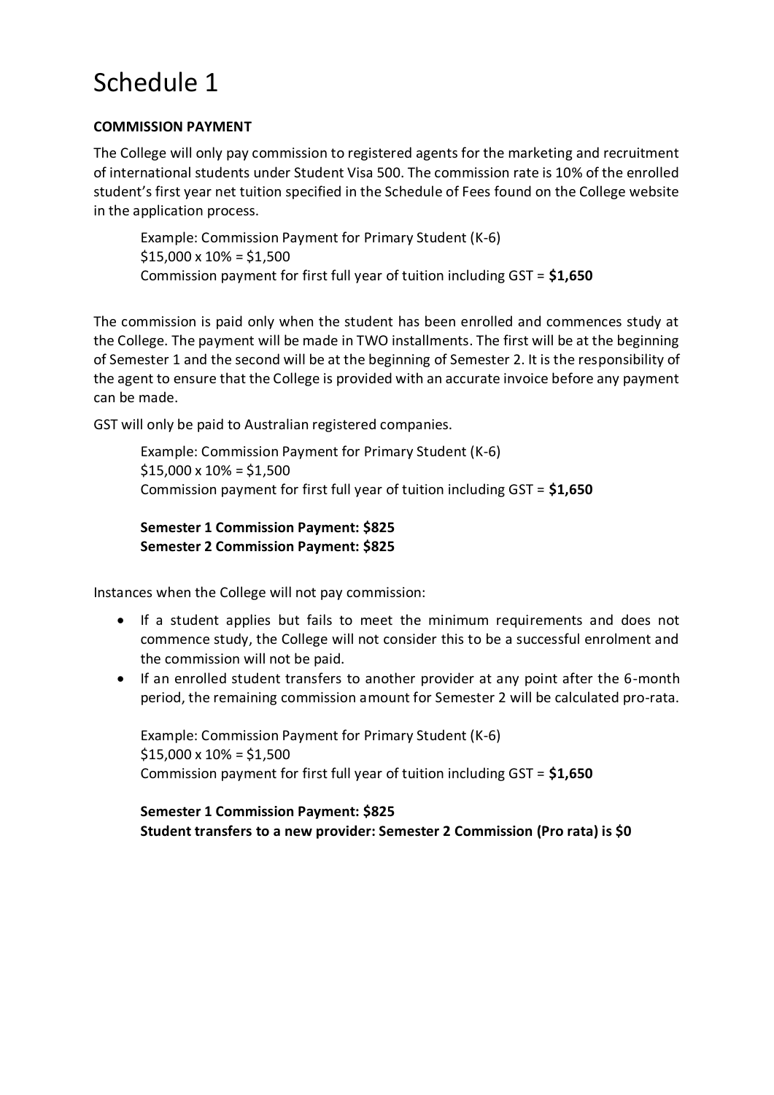# Schedule 1

## **COMMISSION PAYMENT**

The College will only pay commission to registered agents for the marketing and recruitment of international students under Student Visa 500. The commission rate is 10% of the enrolled student's first year net tuition specified in the Schedule of Fees found on the College website in the application process.

Example: Commission Payment for Primary Student (K-6)  $$15,000 \times 10\% = $1,500$ Commission payment for first full year of tuition including GST = **\$1,650**

The commission is paid only when the student has been enrolled and commences study at the College. The payment will be made in TWO installments. The first will be at the beginning of Semester 1 and the second will be at the beginning of Semester 2. It is the responsibility of the agent to ensure that the College is provided with an accurate invoice before any payment can be made.

GST will only be paid to Australian registered companies.

Example: Commission Payment for Primary Student (K-6)  $$15,000 \times 10\% = $1,500$ Commission payment for first full year of tuition including GST = **\$1,650**

## **Semester 1 Commission Payment: \$825 Semester 2 Commission Payment: \$825**

Instances when the College will not pay commission:

- If a student applies but fails to meet the minimum requirements and does not commence study, the College will not consider this to be a successful enrolment and the commission will not be paid.
- If an enrolled student transfers to another provider at any point after the 6-month period, the remaining commission amount for Semester 2 will be calculated pro-rata.

Example: Commission Payment for Primary Student (K-6)  $$15,000 \times 10\% = $1,500$ Commission payment for first full year of tuition including GST = **\$1,650**

**Semester 1 Commission Payment: \$825 Student transfers to a new provider: Semester 2 Commission (Pro rata) is \$0**